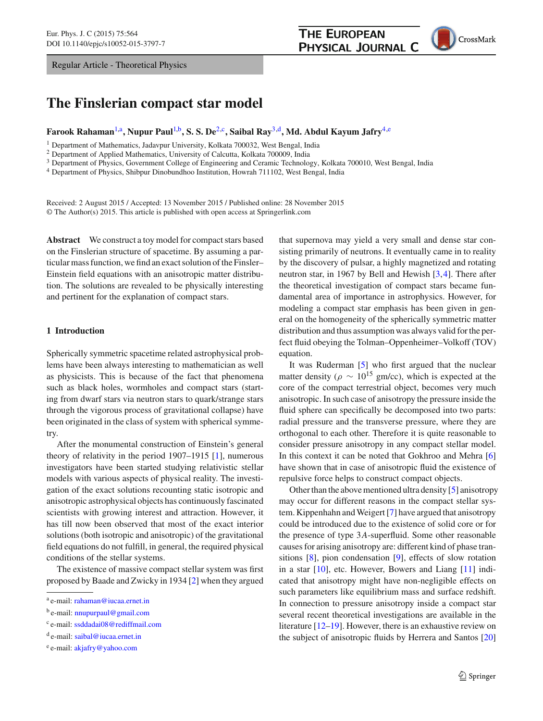Regular Article - Theoretical Physics

# **The Finslerian compact star model**

## **Farook Rahaman**[1,](#page-0-0)a**, Nupur Paul**[1,](#page-0-0)b**, S. S. De**[2,](#page-0-0)c**, Saibal Ray**[3,](#page-0-1)d**, Md. Abdul Kayum Jafry**[4,](#page-0-2)e

<sup>1</sup> Department of Mathematics, Jadavpur University, Kolkata 700032, West Bengal, India

<sup>2</sup> Department of Applied Mathematics, University of Calcutta, Kolkata 700009, India

<sup>3</sup> Department of Physics, Government College of Engineering and Ceramic Technology, Kolkata 700010, West Bengal, India

<sup>4</sup> Department of Physics, Shibpur Dinobundhoo Institution, Howrah 711102, West Bengal, India

Received: 2 August 2015 / Accepted: 13 November 2015 / Published online: 28 November 2015 © The Author(s) 2015. This article is published with open access at Springerlink.com

**Abstract** We construct a toy model for compact stars based on the Finslerian structure of spacetime. By assuming a particular mass function, we find an exact solution of the Finsler– Einstein field equations with an anisotropic matter distribution. The solutions are revealed to be physically interesting and pertinent for the explanation of compact stars.

#### **1 Introduction**

Spherically symmetric spacetime related astrophysical problems have been always interesting to mathematician as well as physicists. This is because of the fact that phenomena such as black holes, wormholes and compact stars (starting from dwarf stars via neutron stars to quark/strange stars through the vigorous process of gravitational collapse) have been originated in the class of system with spherical symmetry.

After the monumental construction of Einstein's general theory of relativity in the period 1907–1915 [\[1\]](#page-10-0), numerous investigators have been started studying relativistic stellar models with various aspects of physical reality. The investigation of the exact solutions recounting static isotropic and anisotropic astrophysical objects has continuously fascinated scientists with growing interest and attraction. However, it has till now been observed that most of the exact interior solutions (both isotropic and anisotropic) of the gravitational field equations do not fulfill, in general, the required physical conditions of the stellar systems.

The existence of massive compact stellar system was first proposed by Baade and Zwicky in 1934 [\[2](#page-10-1)] when they argued

<sup>c</sup> e-mail: [ssddadai08@rediffmail.com](mailto:ssddadai08@rediffmail.com)

<span id="page-0-2"></span><span id="page-0-1"></span><span id="page-0-0"></span>that supernova may yield a very small and dense star consisting primarily of neutrons. It eventually came in to reality by the discovery of pulsar, a highly magnetized and rotating neutron star, in 1967 by Bell and Hewish [\[3](#page-10-2)[,4](#page-10-3)]. There after the theoretical investigation of compact stars became fundamental area of importance in astrophysics. However, for modeling a compact star emphasis has been given in general on the homogeneity of the spherically symmetric matter distribution and thus assumption was always valid for the perfect fluid obeying the Tolman–Oppenheimer–Volkoff (TOV) equation.

It was Ruderman [\[5\]](#page-10-4) who first argued that the nuclear matter density ( $\rho \sim 10^{15}$  gm/cc), which is expected at the core of the compact terrestrial object, becomes very much anisotropic. In such case of anisotropy the pressure inside the fluid sphere can specifically be decomposed into two parts: radial pressure and the transverse pressure, where they are orthogonal to each other. Therefore it is quite reasonable to consider pressure anisotropy in any compact stellar model. In this context it can be noted that Gokhroo and Mehra [\[6\]](#page-10-5) have shown that in case of anisotropic fluid the existence of repulsive force helps to construct compact objects.

Other than the above mentioned ultra density [\[5](#page-10-4)] anisotropy may occur for different reasons in the compact stellar system. Kippenhahn and Weigert [\[7](#page-10-6)] have argued that anisotropy could be introduced due to the existence of solid core or for the presence of type 3*A*-superfluid. Some other reasonable causes for arising anisotropy are: different kind of phase transitions [\[8](#page-10-7)], pion condensation [\[9\]](#page-10-8), effects of slow rotation in a star [\[10](#page-10-9)], etc. However, Bowers and Liang [\[11](#page-10-10)] indicated that anisotropy might have non-negligible effects on such parameters like equilibrium mass and surface redshift. In connection to pressure anisotropy inside a compact star several recent theoretical investigations are available in the literature [\[12](#page-10-11)[–19](#page-11-0)]. However, there is an exhaustive review on the subject of anisotropic fluids by Herrera and Santos [\[20\]](#page-11-1)

**THE EUROPEAN** 

<sup>a</sup> e-mail: [rahaman@iucaa.ernet.in](mailto:rahaman@iucaa.ernet.in)

<sup>b</sup> e-mail: [nnupurpaul@gmail.com](mailto:nnupurpaul@gmail.com)

<sup>d</sup> e-mail: [saibal@iucaa.ernet.in](mailto:saibal@iucaa.ernet.in)

<sup>e</sup> e-mail: [akjafry@yahoo.com](mailto:akjafry@yahoo.com)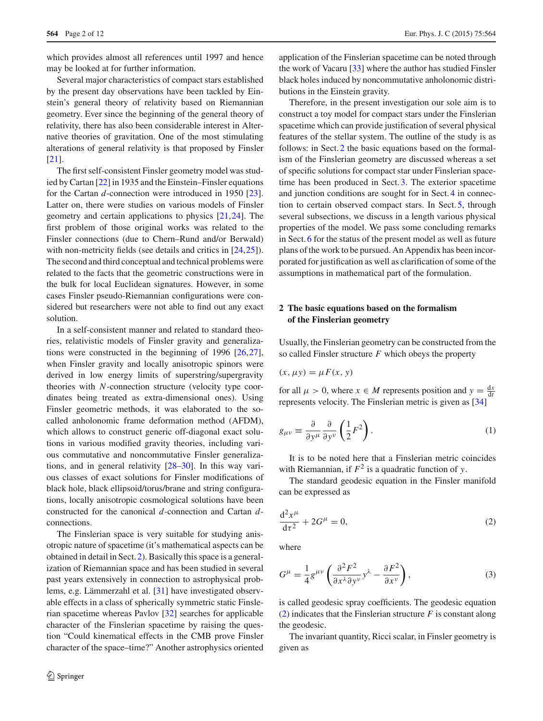which provides almost all references until 1997 and hence may be looked at for further information.

Several major characteristics of compact stars established by the present day observations have been tackled by Einstein's general theory of relativity based on Riemannian geometry. Ever since the beginning of the general theory of relativity, there has also been considerable interest in Alternative theories of gravitation. One of the most stimulating alterations of general relativity is that proposed by Finsler [\[21](#page-11-2)].

The first self-consistent Finsler geometry model was studied by Cartan [\[22](#page-11-3)] in 1935 and the Einstein–Finsler equations for the Cartan *d*-connection were introduced in 1950 [\[23](#page-11-4)]. Latter on, there were studies on various models of Finsler geometry and certain applications to physics [\[21](#page-11-2)[,24](#page-11-5)]. The first problem of those original works was related to the Finsler connections (due to Chern–Rund and/or Berwald) with non-metricity fields (see details and critics in [\[24](#page-11-5)[,25](#page-11-6)]). The second and third conceptual and technical problems were related to the facts that the geometric constructions were in the bulk for local Euclidean signatures. However, in some cases Finsler pseudo-Riemannian configurations were considered but researchers were not able to find out any exact solution.

In a self-consistent manner and related to standard theories, relativistic models of Finsler gravity and generalizations were constructed in the beginning of 1996 [\[26](#page-11-7)[,27](#page-11-8)], when Finsler gravity and locally anisotropic spinors were derived in low energy limits of superstring/supergravity theories with *N*-connection structure (velocity type coordinates being treated as extra-dimensional ones). Using Finsler geometric methods, it was elaborated to the socalled anholonomic frame deformation method (AFDM), which allows to construct generic off-diagonal exact solutions in various modified gravity theories, including various commutative and noncommutative Finsler generalizations, and in general relativity [\[28](#page-11-9)[–30](#page-11-10)]. In this way various classes of exact solutions for Finsler modifications of black hole, black ellipsoid/torus/brane and string configurations, locally anisotropic cosmological solutions have been constructed for the canonical *d*-connection and Cartan *d*connections.

The Finslerian space is very suitable for studying anisotropic nature of spacetime (it's mathematical aspects can be obtained in detail in Sect. [2\)](#page-1-0). Basically this space is a generalization of Riemannian space and has been studied in several past years extensively in connection to astrophysical problems, e.g. Lämmerzahl et al. [\[31](#page-11-11)] have investigated observable effects in a class of spherically symmetric static Finslerian spacetime whereas Pavlov [\[32\]](#page-11-12) searches for applicable character of the Finslerian spacetime by raising the question "Could kinematical effects in the CMB prove Finsler character of the space–time?" Another astrophysics oriented application of the Finslerian spacetime can be noted through the work of Vacaru [\[33](#page-11-13)] where the author has studied Finsler black holes induced by noncommutative anholonomic distributions in the Einstein gravity.

Therefore, in the present investigation our sole aim is to construct a toy model for compact stars under the Finslerian spacetime which can provide justification of several physical features of the stellar system. The outline of the study is as follows: in Sect. [2](#page-1-0) the basic equations based on the formalism of the Finslerian geometry are discussed whereas a set of specific solutions for compact star under Finslerian spacetime has been produced in Sect. [3.](#page-3-0) The exterior spacetime and junction conditions are sought for in Sect. [4](#page-3-1) in connection to certain observed compact stars. In Sect. [5,](#page-5-0) through several subsections, we discuss in a length various physical properties of the model. We pass some concluding remarks in Sect. [6](#page-8-0) for the status of the present model as well as future plans of the work to be pursued. An Appendix has been incorporated for justification as well as clarification of some of the assumptions in mathematical part of the formulation.

## <span id="page-1-0"></span>**2 The basic equations based on the formalism of the Finslerian geometry**

Usually, the Finslerian geometry can be constructed from the so called Finsler structure *F* which obeys the property

$$
(x, \mu y) = \mu F(x, y)
$$

for all  $\mu > 0$ , where  $x \in M$  represents position and  $y = \frac{dx}{dt}$ represents velocity. The Finslerian metric is given as [\[34](#page-11-14)]

$$
g_{\mu\nu} \equiv \frac{\partial}{\partial y^{\mu}} \frac{\partial}{\partial y^{\nu}} \left( \frac{1}{2} F^2 \right). \tag{1}
$$

It is to be noted here that a Finslerian metric coincides with Riemannian, if  $F^2$  is a quadratic function of *y*.

<span id="page-1-1"></span>The standard geodesic equation in the Finsler manifold can be expressed as

$$
\frac{\mathrm{d}^2 x^{\mu}}{\mathrm{d}\tau^2} + 2G^{\mu} = 0,\tag{2}
$$

<span id="page-1-2"></span>where

$$
G^{\mu} = \frac{1}{4} g^{\mu\nu} \left( \frac{\partial^2 F^2}{\partial x^{\lambda} \partial y^{\nu}} y^{\lambda} - \frac{\partial F^2}{\partial x^{\nu}} \right),
$$
 (3)

is called geodesic spray coefficients. The geodesic equation [\(2\)](#page-1-1) indicates that the Finslerian structure *F* is constant along the geodesic.

The invariant quantity, Ricci scalar, in Finsler geometry is given as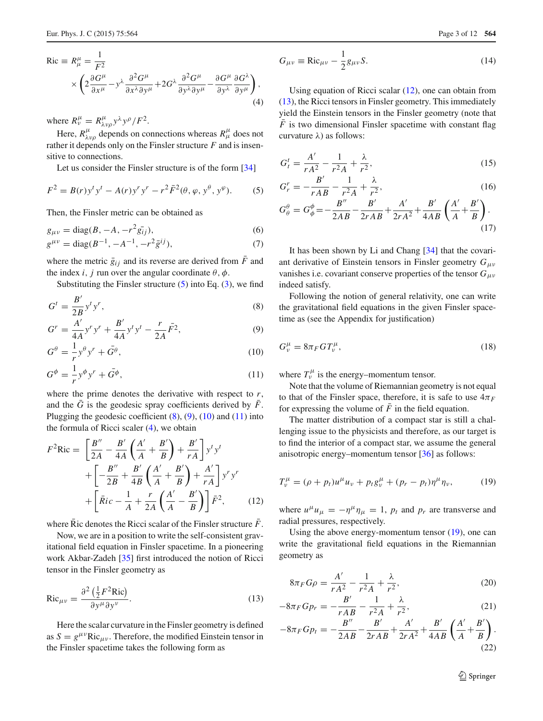<span id="page-2-8"></span>(17)

<span id="page-2-2"></span>
$$
Ric = R^{\mu}_{\mu} = \frac{1}{F^2}
$$
  
 
$$
\times \left(2 \frac{\partial G^{\mu}}{\partial x^{\mu}} - y^{\lambda} \frac{\partial^2 G^{\mu}}{\partial x^{\lambda} \partial y^{\mu}} + 2G^{\lambda} \frac{\partial^2 G^{\mu}}{\partial y^{\lambda} \partial y^{\mu}} - \frac{\partial G^{\mu}}{\partial y^{\lambda}} \frac{\partial G^{\lambda}}{\partial y^{\mu}}\right),
$$
  
(4)

where  $R_v^{\mu} = R_{\lambda\nu\rho}^{\mu} y^{\lambda} y^{\rho} / F^2$ .

Here,  $R^{\mu}_{\lambda\nu\rho}$  depends on connections whereas  $R^{\mu}_{\mu}$  does not rather it depends only on the Finsler structure *F* and is insensitive to connections.

Let us consider the Finsler structure is of the form [\[34\]](#page-11-14)

$$
F^{2} = B(r)y^{t}y^{t} - A(r)y^{r}y^{r} - r^{2}\bar{F}^{2}(\theta, \varphi, y^{\theta}, y^{\varphi}).
$$
 (5)

Then, the Finsler metric can be obtained as

<span id="page-2-7"></span>
$$
g_{\mu\nu} = \text{diag}(B, -A, -r^2 \bar{g_{ij}}),
$$
 (6)

$$
g^{\mu\nu} = \text{diag}(B^{-1}, -A^{-1}, -r^2\bar{g}^{ij}),\tag{7}
$$

where the metric  $\bar{g}_{ij}$  and its reverse are derived from  $\bar{F}$  and the index *i*, *j* run over the angular coordinate  $\theta$ ,  $\phi$ .

Substituting the Finsler structure  $(5)$  into Eq.  $(3)$ , we find

<span id="page-2-1"></span>
$$
G^t = \frac{B'}{2B} y^t y^r,\tag{8}
$$

$$
G^{r} = \frac{A'}{4A} y^{r} y^{r} + \frac{B'}{4A} y^{t} y^{t} - \frac{r}{2A} \bar{F}^{2},
$$
\n(9)

$$
G^{\theta} = -\frac{1}{r} y^{\theta} y^r + \bar{G}^{\theta},\tag{10}
$$

$$
G^{\phi} = -\frac{1}{r} y^{\phi} y^r + \bar{G}^{\phi},\tag{11}
$$

where the prime denotes the derivative with respect to *r*, and the  $G$  is the geodesic spray coefficients derived by  $F$ . Plugging the geodesic coefficient  $(8)$ ,  $(9)$ ,  $(10)$  and  $(11)$  into the formula of Ricci scaler [\(4\)](#page-2-2), we obtain

<span id="page-2-3"></span>
$$
F^{2}\text{Ric} = \left[\frac{B''}{2A} - \frac{B'}{4A}\left(\frac{A'}{A} + \frac{B'}{B}\right) + \frac{B'}{rA}\right]y^{t}y^{t}
$$

$$
+ \left[-\frac{B''}{2B} + \frac{B'}{4B}\left(\frac{A'}{A} + \frac{B'}{B}\right) + \frac{A'}{rA}\right]y^{r}y^{r}
$$

$$
+ \left[\bar{R}ic - \frac{1}{A} + \frac{r}{2A}\left(\frac{A'}{A} - \frac{B'}{B}\right)\right]\bar{F}^{2}, \qquad (12)
$$

where  $\overline{R}$  ic denotes the Ricci scalar of the Finsler structure  $\overline{F}$ .

Now, we are in a position to write the self-consistent gravitational field equation in Finsler spacetime. In a pioneering work Akbar-Zadeh [\[35](#page-11-15)] first introduced the notion of Ricci tensor in the Finsler geometry as

$$
Ric_{\mu\nu} = \frac{\partial^2 \left(\frac{1}{2}F^2Ric\right)}{\partial y^\mu \partial y^\nu}.
$$
 (13)

Here the scalar curvature in the Finsler geometry is defined as  $S = g^{\mu\nu}Ric_{\mu\nu}$ . Therefore, the modified Einstein tensor in the Finsler spacetime takes the following form as

$$
G_{\mu\nu} \equiv \text{Ric}_{\mu\nu} - \frac{1}{2}g_{\mu\nu}S. \tag{14}
$$

Using equation of Ricci scalar [\(12\)](#page-2-3), one can obtain from [\(13\)](#page-2-4), the Ricci tensors in Finsler geometry. This immediately yield the Einstein tensors in the Finsler geometry (note that  $\overline{F}$  is two dimensional Finsler spacetime with constant flag curvature  $\lambda$ ) as follows:

<span id="page-2-0"></span>
$$
G_t^t = \frac{A'}{rA^2} - \frac{1}{r^2A} + \frac{\lambda}{r^2},
$$
\n(15)

$$
G_r^r = -\frac{B'}{rAB} - \frac{1}{r^2A} + \frac{\lambda}{r^2},
$$
\n
$$
G_\theta^\theta = G_\phi^\phi = -\frac{B''}{2AB} - \frac{B'}{2rAB} + \frac{A'}{2rA^2} + \frac{B'}{4AB} \left(\frac{A'}{A} + \frac{B'}{B}\right).
$$
\n(16)

It has been shown by Li and Chang [\[34](#page-11-14)] that the covariant derivative of Einstein tensors in Finsler geometry *G*μν vanishes i.e. covariant conserve properties of the tensor  $G_{\mu\nu}$ indeed satisfy.

Following the notion of general relativity, one can write the gravitational field equations in the given Finsler spacetime as (see the Appendix for justification)

$$
G^{\mu}_{\nu} = 8\pi_F G T^{\mu}_{\nu},\tag{18}
$$

where  $T_v^{\mu}$  is the energy–momentum tensor.

Note that the volume of Riemannian geometry is not equal to that of the Finsler space, therefore, it is safe to use  $4\pi$ **F** for expressing the volume of  $\bar{F}$  in the field equation.

The matter distribution of a compact star is still a challenging issue to the physicists and therefore, as our target is to find the interior of a compact star, we assume the general anisotropic energy–momentum tensor [\[36\]](#page-11-16) as follows:

<span id="page-2-5"></span>
$$
T_{\nu}^{\mu} = (\rho + p_t)u^{\mu}u_{\nu} + p_t g_{\nu}^{\mu} + (p_r - p_t)\eta^{\mu}\eta_{\nu},
$$
 (19)

where  $u^{\mu}u_{\mu} = -\eta^{\mu}\eta_{\mu} = 1$ ,  $p_t$  and  $p_r$  are transverse and radial pressures, respectively.

Using the above energy-momentum tensor [\(19\)](#page-2-5), one can write the gravitational field equations in the Riemannian geometry as

<span id="page-2-6"></span>
$$
8\pi_F G \rho = \frac{A'}{r A^2} - \frac{1}{r^2 A} + \frac{\lambda}{r^2},\tag{20}
$$

<span id="page-2-4"></span>
$$
-8\pi_F G p_r = -\frac{B'}{rAB} - \frac{1}{r^2A} + \frac{\lambda}{r^2},
$$
 (21)

$$
-8\pi_F G p_t = -\frac{B''}{2AB} - \frac{B'}{2rAB} + \frac{A'}{2rA^2} + \frac{B'}{4AB} \left(\frac{A'}{A} + \frac{B'}{B}\right).
$$
\n(22)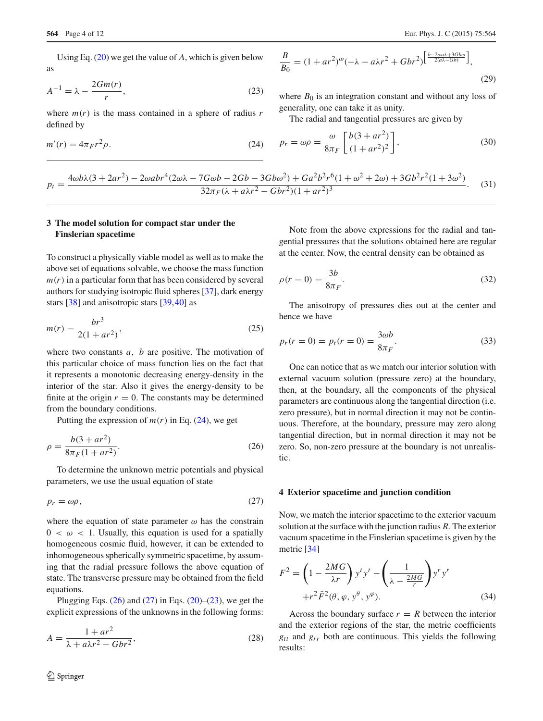Using Eq. [\(20\)](#page-2-6) we get the value of *A*, which is given below as

<span id="page-3-5"></span>
$$
A^{-1} = \lambda - \frac{2Gm(r)}{r},\tag{23}
$$

where  $m(r)$  is the mass contained in a sphere of radius  $r$ defined by

<span id="page-3-2"></span>
$$
m'(r) = 4\pi Fr^2 \rho. \tag{24}
$$

$$
\frac{B}{B_0} = (1 + ar^2)^{\omega}(-\lambda - a\lambda r^2 + Gbr^2)^{\left[\frac{b - 2\omega a\lambda + 3Gb\omega}{2(a\lambda - Gb)}\right]},
$$
\n(29)

where  $B_0$  is an integration constant and without any loss of generality, one can take it as unity.

The radial and tangential pressures are given by

$$
p_r = \omega \rho = \frac{\omega}{8\pi F} \left[ \frac{b(3 + ar^2)}{(1 + ar^2)^2} \right],
$$
 (30)

$$
p_t = \frac{4\omega b\lambda (3 + 2ar^2) - 2\omega abr^4 (2\omega\lambda - 7G\omega b - 2Gb - 3Gb\omega^2) + Ga^2 b^2 r^6 (1 + \omega^2 + 2\omega) + 3Gb^2 r^2 (1 + 3\omega^2)}{32\pi_F(\lambda + a\lambda r^2 - Gbr^2)(1 + ar^2)^3}.
$$
 (31)

## <span id="page-3-0"></span>**3 The model solution for compact star under the Finslerian spacetime**

To construct a physically viable model as well as to make the above set of equations solvable, we choose the mass function  $m(r)$  in a particular form that has been considered by several authors for studying isotropic fluid spheres [\[37\]](#page-11-17), dark energy stars [\[38](#page-11-18)] and anisotropic stars [\[39,](#page-11-19)[40\]](#page-11-20) as

$$
m(r) = \frac{br^3}{2(1 + ar^2)},
$$
\n(25)

where two constants *a*, *b* are positive. The motivation of this particular choice of mass function lies on the fact that it represents a monotonic decreasing energy-density in the interior of the star. Also it gives the energy-density to be finite at the origin  $r = 0$ . The constants may be determined from the boundary conditions.

Putting the expression of  $m(r)$  in Eq. [\(24\)](#page-3-2), we get

<span id="page-3-3"></span>
$$
\rho = \frac{b(3 + ar^2)}{8\pi_F (1 + ar^2)}.
$$
\n(26)

To determine the unknown metric potentials and physical parameters, we use the usual equation of state

<span id="page-3-4"></span>
$$
p_r = \omega \rho, \tag{27}
$$

where the equation of state parameter  $\omega$  has the constrain  $0 < \omega < 1$ . Usually, this equation is used for a spatially homogeneous cosmic fluid, however, it can be extended to inhomogeneous spherically symmetric spacetime, by assuming that the radial pressure follows the above equation of state. The transverse pressure may be obtained from the field equations.

Plugging Eqs.  $(26)$  and  $(27)$  in Eqs.  $(20)$ – $(23)$ , we get the explicit expressions of the unknowns in the following forms:

$$
A = \frac{1 + ar^2}{\lambda + a\lambda r^2 - Gbr^2},\tag{28}
$$

Note from the above expressions for the radial and tangential pressures that the solutions obtained here are regular at the center. Now, the central density can be obtained as

<span id="page-3-6"></span>
$$
\rho(r=0) = \frac{3b}{8\pi_F}.\tag{32}
$$

The anisotropy of pressures dies out at the center and hence we have

$$
p_r(r=0) = p_t(r=0) = \frac{3\omega b}{8\pi_F}.
$$
\n(33)

One can notice that as we match our interior solution with external vacuum solution (pressure zero) at the boundary, then, at the boundary, all the components of the physical parameters are continuous along the tangential direction (i.e. zero pressure), but in normal direction it may not be continuous. Therefore, at the boundary, pressure may zero along tangential direction, but in normal direction it may not be zero. So, non-zero pressure at the boundary is not unrealistic.

#### <span id="page-3-1"></span>**4 Exterior spacetime and junction condition**

Now, we match the interior spacetime to the exterior vacuum solution at the surface with the junction radius *R*. The exterior vacuum spacetime in the Finslerian spacetime is given by the metric [\[34](#page-11-14)]

$$
F^{2} = \left(1 - \frac{2MG}{\lambda r}\right) y^{t} y^{t} - \left(\frac{1}{\lambda - \frac{2MG}{r}}\right) y^{r} y^{r}
$$

$$
+ r^{2} \bar{F}^{2}(\theta, \varphi, y^{\theta}, y^{\varphi}).
$$
(34)

Across the boundary surface  $r = R$  between the interior and the exterior regions of the star, the metric coefficients *gtt* and *grr* both are continuous. This yields the following results: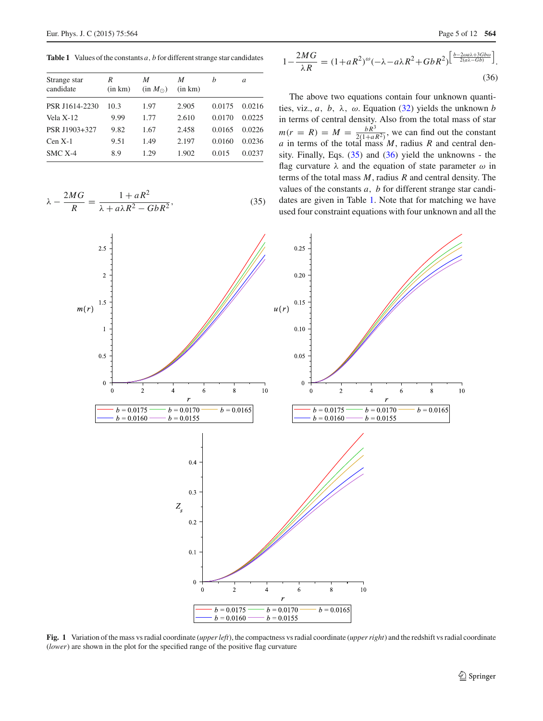<span id="page-4-1"></span>**Table 1** Values of the constants *a*, *b* for different strange star candidates

| Strange star<br>candidate | R<br>(in km) | M<br>(in M <sub>0</sub> ) | M<br>(in km) | h      | a      |
|---------------------------|--------------|---------------------------|--------------|--------|--------|
| PSR J1614-2230            | 10.3         | 1.97                      | 2.905        | 0.0175 | 0.0216 |
| Vela X-12                 | 9.99         | 1.77                      | 2.610        | 0.0170 | 0.0225 |
| PSR J1903+327             | 9.82         | 1.67                      | 2.458        | 0.0165 | 0.0226 |
| $Cen X-1$                 | 9.51         | 1.49                      | 2.197        | 0.0160 | 0.0236 |
| $SMC X-4$                 | 8.9          | 1.29                      | 1.902        | 0.015  | 0.0237 |

<span id="page-4-0"></span>
$$
\lambda - \frac{2MG}{R} = \frac{1 + aR^2}{\lambda + a\lambda R^2 - GbR^2},\tag{35}
$$

$$
1 - \frac{2MG}{\lambda R} = (1 + aR^2)^{\omega} (-\lambda - a\lambda R^2 + GbR^2)^{\left[\frac{b - 2\omega a\lambda + 3Gb\omega}{2(a\lambda - Gb)}\right]}.
$$
\n(36)

The above two equations contain four unknown quantities, viz.,  $a$ ,  $b$ ,  $\lambda$ ,  $\omega$ . Equation [\(32\)](#page-3-6) yields the unknown *b* in terms of central density. Also from the total mass of star  $m(r = R) = M = \frac{bR^3}{2(1+aR^2)}$ , we can find out the constant *a* in terms of the total mass *M*, radius *R* and central density. Finally, Eqs.  $(35)$  and  $(36)$  yield the unknowns - the flag curvature  $\lambda$  and the equation of state parameter  $\omega$  in terms of the total mass *M*, radius *R* and central density. The values of the constants *a*, *b* for different strange star candidates are given in Table [1.](#page-4-1) Note that for matching we have used four constraint equations with four unknown and all the



<span id="page-4-2"></span>**Fig. 1** Variation of the mass vs radial coordinate (*upper left*), the compactness vs radial coordinate (*upper right*) and the redshift vs radial coordinate (*lower*) are shown in the plot for the specified range of the positive flag curvature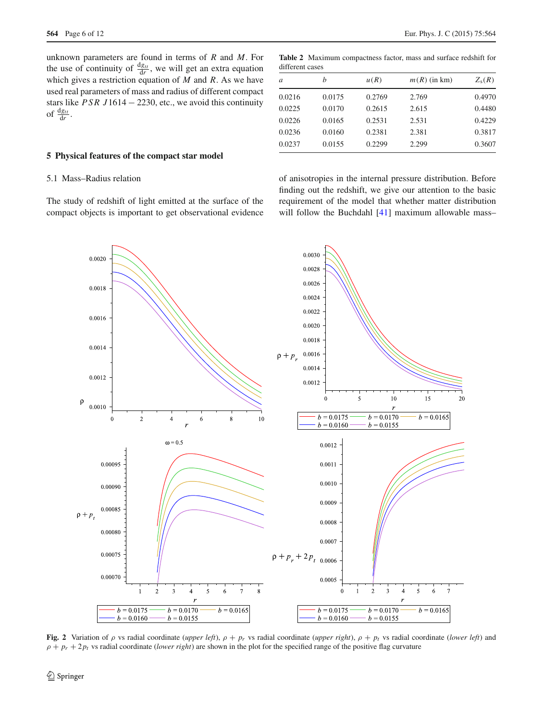unknown parameters are found in terms of *R* and *M*. For the use of continuity of  $\frac{dg_{tt}}{dr}$ , we will get an extra equation which gives a restriction equation of *M* and *R*. As we have used real parameters of mass and radius of different compact stars like *PSR J*1614 − 2230, etc., we avoid this continuity of  $\frac{dg_{tt}}{dr}$ .

### <span id="page-5-0"></span>**5 Physical features of the compact star model**

## 5.1 Mass–Radius relation

The study of redshift of light emitted at the surface of the compact objects is important to get observational evidence

<span id="page-5-1"></span>**Table 2** Maximum compactness factor, mass and surface redshift for different cases

| a      | h      | u(R)   | $m(R)$ (in km) | $Z_{\rm s}(R)$ |  |
|--------|--------|--------|----------------|----------------|--|
| 0.0216 | 0.0175 | 0.2769 | 2.769          | 0.4970         |  |
| 0.0225 | 0.0170 | 0.2615 | 2.615          | 0.4480         |  |
| 0.0226 | 0.0165 | 0.2531 | 2.531          | 0.4229         |  |
| 0.0236 | 0.0160 | 0.2381 | 2.381          | 0.3817         |  |
| 0.0237 | 0.0155 | 0.2299 | 2.299          | 0.3607         |  |

of anisotropies in the internal pressure distribution. Before finding out the redshift, we give our attention to the basic requirement of the model that whether matter distribution will follow the Buchdahl [\[41](#page-11-21)] maximum allowable mass-



<span id="page-5-2"></span>**Fig. 2** Variation of  $\rho$  vs radial coordinate (*upper left*),  $\rho + p_r$  vs radial coordinate (*upper right*),  $\rho + p_t$  vs radial coordinate (*lower left*) and  $\rho + p_r + 2p_t$  vs radial coordinate (*lower right*) are shown in the plot for the specified range of the positive flag curvature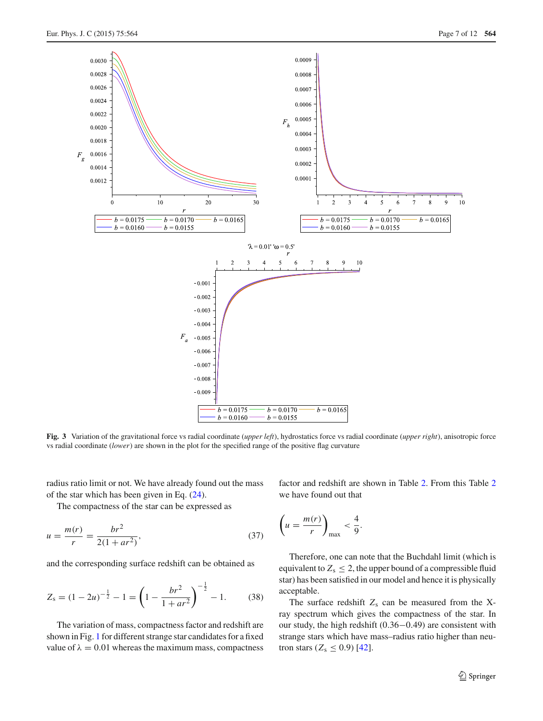

<span id="page-6-0"></span>**Fig. 3** Variation of the gravitational force vs radial coordinate (*upper left*), hydrostatics force vs radial coordinate (*upper right*), anisotropic force vs radial coordinate (*lower*) are shown in the plot for the specified range of the positive flag curvature

radius ratio limit or not. We have already found out the mass of the star which has been given in Eq. [\(24\)](#page-3-2).

The compactness of the star can be expressed as

$$
u = \frac{m(r)}{r} = \frac{br^2}{2(1 + ar^2)},
$$
\n(37)

and the corresponding surface redshift can be obtained as

$$
Z_{\rm s} = (1 - 2u)^{-\frac{1}{2}} - 1 = \left(1 - \frac{br^2}{1 + ar^2}\right)^{-\frac{1}{2}} - 1. \tag{38}
$$

The variation of mass, compactness factor and redshift are shown in Fig. [1](#page-4-2) for different strange star candidates for a fixed value of  $\lambda = 0.01$  whereas the maximum mass, compactness factor and redshift are shown in Table [2.](#page-5-1) From this Table [2](#page-5-1) we have found out that

$$
\left(u=\frac{m(r)}{r}\right)_{\max}<\frac{4}{9}.
$$

Therefore, one can note that the Buchdahl limit (which is equivalent to  $Z_s \leq 2$ , the upper bound of a compressible fluid star) has been satisfied in our model and hence it is physically acceptable.

The surface redshift  $Z_s$  can be measured from the Xray spectrum which gives the compactness of the star. In our study, the high redshift (0.36−0.49) are consistent with strange stars which have mass–radius ratio higher than neutron stars  $(Z_s \le 0.9)$  [\[42](#page-11-22)].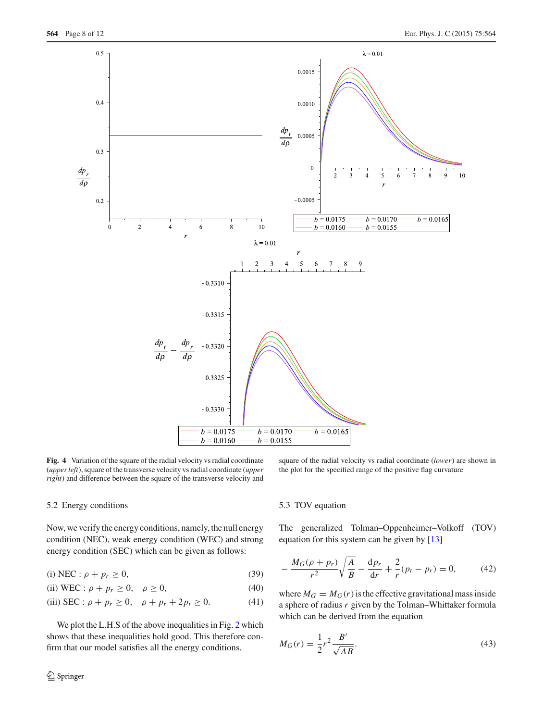

<span id="page-7-1"></span>**Fig. 4** Variation of the square of the radial velocity vs radial coordinate (*upper left*), square of the transverse velocity vs radial coordinate (*upper right*) and difference between the square of the transverse velocity and

square of the radial velocity vs radial coordinate (*lower*) are shown in the plot for the specified range of the positive flag curvature

## 5.2 Energy conditions

Now, we verify the energy conditions, namely, the null energy condition (NEC), weak energy condition (WEC) and strong energy condition (SEC) which can be given as follows:

(i) NEC :  $\rho + p_r \ge 0$ , (39)

(ii) WEC: 
$$
\rho + p_r \ge 0
$$
,  $\rho \ge 0$ , (40)

(iii) 
$$
\text{SEC}: \rho + p_r \ge 0, \quad \rho + p_r + 2p_t \ge 0.
$$
 (41)

We plot the L.H.S of the above inequalities in Fig. [2](#page-5-2) which shows that these inequalities hold good. This therefore confirm that our model satisfies all the energy conditions.

5.3 TOV equation

The generalized Tolman–Oppenheimer–Volkoff (TOV) equation for this system can be given by [\[13](#page-10-12)]

<span id="page-7-0"></span>
$$
-\frac{M_G(\rho + p_r)}{r^2} \sqrt{\frac{A}{B}} - \frac{dp_r}{dr} + \frac{2}{r}(p_t - p_r) = 0,
$$
 (42)

where  $M_G = M_G(r)$  is the effective gravitational mass inside a sphere of radius *r* given by the Tolman–Whittaker formula which can be derived from the equation

$$
M_G(r) = \frac{1}{2}r^2 \frac{B'}{\sqrt{AB}}.
$$
\n(43)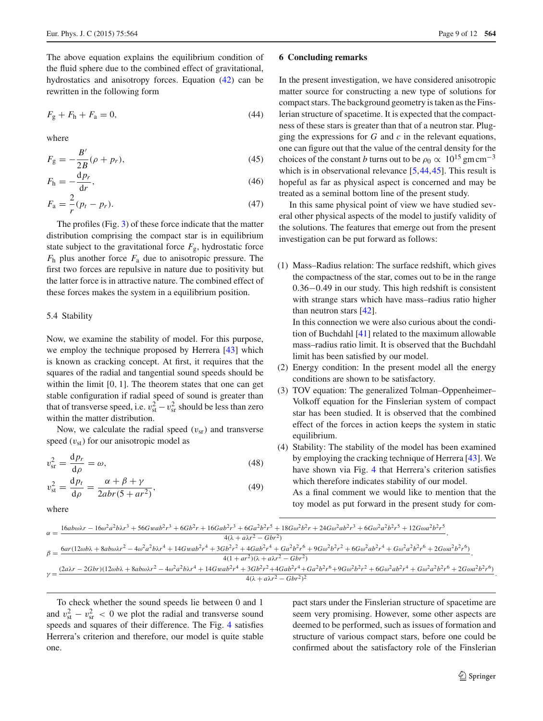The above equation explains the equilibrium condition of the fluid sphere due to the combined effect of gravitational, hydrostatics and anisotropy forces. Equation [\(42\)](#page-7-0) can be rewritten in the following form

$$
F_{\rm g} + F_{\rm h} + F_{\rm a} = 0,\t\t(44)
$$

where

$$
F_{g} = -\frac{B'}{2B}(\rho + p_{r}),
$$
\n(45)

$$
F_{\rm h} = -\frac{\mathrm{d}p_r}{\mathrm{d}r},\tag{46}
$$

$$
F_{\rm a} = \frac{2}{r}(p_t - p_r). \tag{47}
$$

The profiles (Fig. [3\)](#page-6-0) of these force indicate that the matter distribution comprising the compact star is in equilibrium state subject to the gravitational force  $F_{\rm g}$ , hydrostatic force *F*<sup>h</sup> plus another force *F*<sup>a</sup> due to anisotropic pressure. The first two forces are repulsive in nature due to positivity but the latter force is in attractive nature. The combined effect of these forces makes the system in a equilibrium position.

#### 5.4 Stability

Now, we examine the stability of model. For this purpose, we employ the technique proposed by Herrera [\[43\]](#page-11-23) which is known as cracking concept. At first, it requires that the squares of the radial and tangential sound speeds should be within the limit [0, 1]. The theorem states that one can get stable configuration if radial speed of sound is greater than that of transverse speed, i.e.  $v_{\rm st}^2 - v_{\rm sr}^2$  should be less than zero within the matter distribution.

Now, we calculate the radial speed  $(v_{sr})$  and transverse speed  $(v_{st})$  for our anisotropic model as

$$
v_{\rm sr}^2 = \frac{\mathrm{d}p_r}{\mathrm{d}\rho} = \omega,\tag{48}
$$

$$
v_{\rm st}^2 = \frac{\mathrm{d}p_t}{\mathrm{d}\rho} = \frac{\alpha + \beta + \gamma}{2abr(5 + ar^2)},\tag{49}
$$

where

#### <span id="page-8-0"></span>**6 Concluding remarks**

In the present investigation, we have considered anisotropic matter source for constructing a new type of solutions for compact stars. The background geometry is taken as the Finslerian structure of spacetime. It is expected that the compactness of these stars is greater than that of a neutron star. Plugging the expressions for *G* and *c* in the relevant equations, one can figure out that the value of the central density for the choices of the constant *b* turns out to be  $\rho_0 \propto 10^{15}$  gm cm<sup>-3</sup> which is in observational relevance [\[5,](#page-10-4)[44](#page-11-24)[,45](#page-11-25)]. This result is hopeful as far as physical aspect is concerned and may be treated as a seminal bottom line of the present study.

In this same physical point of view we have studied several other physical aspects of the model to justify validity of the solutions. The features that emerge out from the present investigation can be put forward as follows:

(1) Mass–Radius relation: The surface redshift, which gives the compactness of the star, comes out to be in the range 0.36−0.49 in our study. This high redshift is consistent with strange stars which have mass–radius ratio higher than neutron stars [\[42\]](#page-11-22).

In this connection we were also curious about the condition of Buchdahl [\[41](#page-11-21)] related to the maximum allowable mass–radius ratio limit. It is observed that the Buchdahl limit has been satisfied by our model.

- (2) Energy condition: In the present model all the energy conditions are shown to be satisfactory.
- (3) TOV equation: The generalized Tolman–Oppenheimer– Volkoff equation for the Finslerian system of compact star has been studied. It is observed that the combined effect of the forces in action keeps the system in static equilibrium.
- (4) Stability: The stability of the model has been examined by employing the cracking technique of Herrera [\[43\]](#page-11-23). We have shown via Fig. [4](#page-7-1) that Herrera's criterion satisfies which therefore indicates stability of our model.

As a final comment we would like to mention that the toy model as put forward in the present study for com-

|            | $16ab\omega\lambda r - 16\omega^2a^2b\lambda r^3 + 56Gwab^2r^3 + 6Gb^2r + 16Gab^2r^3 + 6Ga^2b^2r^5 + 18G\omega^2b^2r + 24G\omega^2ab^2r^3 + 6G\omega^2a^2b^2r^5 + 12G\omega a^2b^2r^5$ |  |  |  |  |
|------------|----------------------------------------------------------------------------------------------------------------------------------------------------------------------------------------|--|--|--|--|
| $\alpha =$ | $4(\lambda + a\lambda r^2 - Gbr^2)$                                                                                                                                                    |  |  |  |  |

|           | $6ar(12\omega b\lambda + 8ab\omega\lambda r^2 - 4\omega^2a^2b\lambda r^4 + 14G\omega ab^2r^4 + 3Gb^2r^2 + 4Gab^2r^4 + Ga^2b^2r^6 + 9G\omega^2b^2r^2 + 6G\omega^2ab^2r^4 + G\omega^2a^2b^2r^6 + 2G\omega a^2b^2r^6)$            |
|-----------|--------------------------------------------------------------------------------------------------------------------------------------------------------------------------------------------------------------------------------|
|           | $4(1+ar^2)(\lambda + a\lambda r^2 - Gbr^2)$                                                                                                                                                                                    |
|           | $(2a\lambda r - 2Gbr)(12\omega b\lambda + 8ab\omega\lambda r^2 - 4\omega^2a^2b\lambda r^4 + 14Gwab^2r^4 + 3Gb^2r^2 + 4Gab^2r^4 + Ga^2b^2r^6 + 9G\omega^2b^2r^2 + 6G\omega^2ab^2r^4 + G\omega^2a^2b^2r^6 + 2G\omega a^2b^2r^6)$ |
| $\nu = -$ | $4(\lambda + a\lambda r^2 - Gbr^2)^2$                                                                                                                                                                                          |
|           |                                                                                                                                                                                                                                |

To check whether the sound speeds lie between 0 and 1 and  $v_{\rm st}^2 - v_{\rm sr}^2 < 0$  we plot the radial and transverse sound speeds and squares of their difference. The Fig. [4](#page-7-1) satisfies Herrera's criterion and therefore, our model is quite stable one.

pact stars under the Finslerian structure of spacetime are seem very promising. However, some other aspects are deemed to be performed, such as issues of formation and structure of various compact stars, before one could be confirmed about the satisfactory role of the Finslerian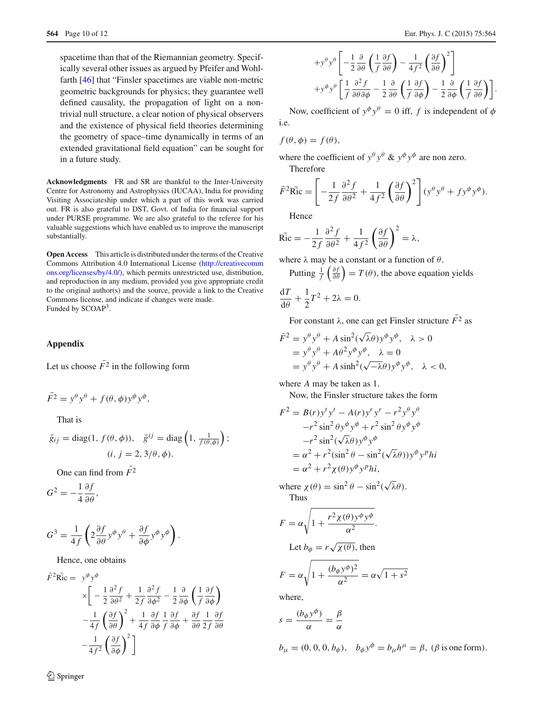spacetime than that of the Riemannian geometry. Specifically several other issues as argued by Pfeifer and Wohlfarth [\[46](#page-11-26)] that "Finsler spacetimes are viable non-metric geometric backgrounds for physics; they guarantee well defined causality, the propagation of light on a nontrivial null structure, a clear notion of physical observers and the existence of physical field theories determining the geometry of space–time dynamically in terms of an extended gravitational field equation" can be sought for in a future study.

**Acknowledgments** FR and SR are thankful to the Inter-University Centre for Astronomy and Astrophysics (IUCAA), India for providing Visiting Associateship under which a part of this work was carried out. FR is also grateful to DST, Govt. of India for financial support under PURSE programme. We are also grateful to the referee for his valuable suggestions which have enabled us to improve the manuscript substantially.

**Open Access** This article is distributed under the terms of the Creative Commons Attribution 4.0 International License [\(http://creativecomm](http://creativecommons.org/licenses/by/4.0/) [ons.org/licenses/by/4.0/\)](http://creativecommons.org/licenses/by/4.0/), which permits unrestricted use, distribution, and reproduction in any medium, provided you give appropriate credit to the original author(s) and the source, provide a link to the Creative Commons license, and indicate if changes were made. Funded by SCOAP3.

### **Appendix**

Let us choose  $\overline{F}^2$  in the following form

$$
\overline{F}^2 = y^{\theta} y^{\theta} + f(\theta, \phi) y^{\phi} y^{\phi},
$$

That is

$$
\bar{g}_{ij} = \text{diag}(1, f(\theta, \phi)), \quad \bar{g}^{ij} = \text{diag}\left(1, \frac{1}{f(\theta, \phi)}\right);
$$

$$
(i, j = 2, 3/\theta, \phi).
$$

One can find from  $\overline{F}^2$ 

$$
G^2 = -\frac{1}{4} \frac{\partial f}{\partial \theta},
$$

$$
G^{3} = \frac{1}{4f} \left( 2 \frac{\partial f}{\partial \theta} y^{\phi} y^{\theta} + \frac{\partial f}{\partial \phi} y^{\phi} y^{\phi} \right).
$$

Hence, one obtains

$$
\bar{F}^2 \mathbf{Ric} = y^{\phi} y^{\phi}
$$
\n
$$
\times \left[ -\frac{1}{2} \frac{\partial^2 f}{\partial \theta^2} + \frac{1}{2f} \frac{\partial^2 f}{\partial \phi^2} - \frac{1}{2} \frac{\partial}{\partial \phi} \left( \frac{1}{f} \frac{\partial f}{\partial \phi} \right) - \frac{1}{4f} \left( \frac{\partial f}{\partial \theta} \right)^2 + \frac{1}{4f} \frac{\partial f}{\partial \phi} \frac{1}{f} \frac{\partial f}{\partial \phi} + \frac{\partial f}{\partial \theta} \frac{1}{2f} \frac{\partial f}{\partial \theta} - \frac{1}{4f^2} \left( \frac{\partial f}{\partial \phi} \right)^2 \right]
$$

$$
+ y^{\theta} y^{\theta} \left[ -\frac{1}{2} \frac{\partial}{\partial \theta} \left( \frac{1}{f} \frac{\partial f}{\partial \theta} \right) - \frac{1}{4 f^2} \left( \frac{\partial f}{\partial \theta} \right)^2 \right] + y^{\phi} y^{\theta} \left[ \frac{1}{f} \frac{\partial^2 f}{\partial \theta \partial \phi} - \frac{1}{2} \frac{\partial}{\partial \theta} \left( \frac{1}{f} \frac{\partial f}{\partial \phi} \right) - \frac{1}{2} \frac{\partial}{\partial \phi} \left( \frac{1}{f} \frac{\partial f}{\partial \theta} \right) \right].
$$

Now, coefficient of  $y^{\phi} y^{\theta} = 0$  iff, *f* is independent of  $\phi$ i.e.

$$
f(\theta, \phi) = f(\theta),
$$

where the coefficient of  $y^{\theta} y^{\theta}$  &  $y^{\phi} y^{\phi}$  are non zero.

Therefore

$$
\bar{F}^2 \mathbf{Ric} = \left[ -\frac{1}{2f} \frac{\partial^2 f}{\partial \theta^2} + \frac{1}{4f^2} \left( \frac{\partial f}{\partial \theta} \right)^2 \right] (y^\theta y^\theta + f y^\phi y^\phi).
$$

Hence

$$
\overline{\text{Ric}} = -\frac{1}{2f} \frac{\partial^2 f}{\partial \theta^2} + \frac{1}{4f^2} \left( \frac{\partial f}{\partial \theta} \right)^2 = \lambda,
$$

where  $\lambda$  may be a constant or a function of  $\theta$ .

Putting  $\frac{1}{f}\left(\frac{\partial f}{\partial \theta}\right) = T(\theta)$ , the above equation yields

$$
\frac{\mathrm{d}T}{\mathrm{d}\theta} + \frac{1}{2}T^2 + 2\lambda = 0.
$$

For constant  $\lambda$ , one can get Finsler structure  $\overline{F}^2$  as

$$
\begin{aligned} \bar{F}^2 &= y^\theta y^\theta + A \sin^2(\sqrt{\lambda}\theta) y^\phi y^\phi, \quad \lambda > 0 \\ &= y^\theta y^\theta + A\theta^2 y^\phi y^\phi, \quad \lambda = 0 \\ &= y^\theta y^\theta + A \sinh^2(\sqrt{-\lambda}\theta) y^\phi y^\phi, \quad \lambda < 0, \end{aligned}
$$

where *A* may be taken as 1.

Now, the Finsler structure takes the form

$$
F^{2} = B(r)y^{t}y^{t} - A(r)y^{r}y^{r} - r^{2}y^{\theta}y^{\theta}
$$
  
\n
$$
-r^{2} \sin^{2} \theta y^{\phi}y^{\phi} + r^{2} \sin^{2} \theta y^{\phi}y^{\phi}
$$
  
\n
$$
-r^{2} \sin^{2} (\sqrt{\lambda}\theta)y^{\phi}y^{\phi}
$$
  
\n
$$
= \alpha^{2} + r^{2} (\sin^{2} \theta - \sin^{2}(\sqrt{\lambda}\theta))y^{\phi}y^{p}hi
$$
  
\n
$$
= \alpha^{2} + r^{2}\chi(\theta)y^{\phi}y^{p}hi,
$$

where  $\chi(\theta) = \sin^2 \theta - \sin^2(\sqrt{\lambda}\theta)$ . Thus

$$
F = \alpha \sqrt{1 + \frac{r^2 \chi(\theta) y^{\phi} y^{\phi}}{\alpha^2}}.
$$
  
Let  $b_{\phi} = r \sqrt{\chi(\theta)}$ , then  

$$
F = \alpha \sqrt{1 + \frac{(b_{\phi} y^{\phi})^2}{\alpha^2}} = \alpha \sqrt{1 + s^2}
$$

where,

$$
s = \frac{(b_{\phi}y^{\phi})}{\alpha} = \frac{\beta}{\alpha}
$$

 $b_{\mu} = (0, 0, 0, b_{\phi}), \quad b_{\phi} y^{\phi} = b_{\mu} h^{\mu} = \beta, (\beta \text{ is one form}).$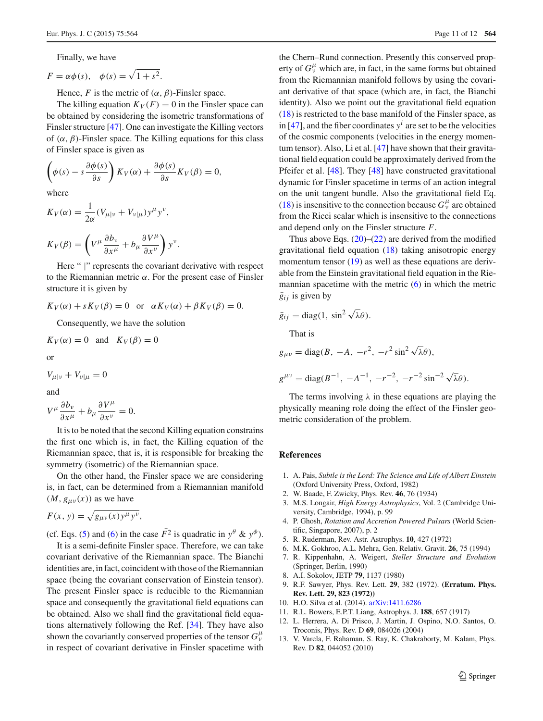Finally, we have

$$
F = \alpha \phi(s), \quad \phi(s) = \sqrt{1 + s^2}.
$$

Hence, *F* is the metric of  $(\alpha, \beta)$ -Finsler space.

The killing equation  $K_V(F) = 0$  in the Finsler space can be obtained by considering the isometric transformations of Finsler structure [\[47](#page-11-27)]. One can investigate the Killing vectors of  $(\alpha, \beta)$ -Finsler space. The Killing equations for this class of Finsler space is given as

$$
\left(\phi(s) - s \frac{\partial \phi(s)}{\partial s}\right) K_V(\alpha) + \frac{\partial \phi(s)}{\partial s} K_V(\beta) = 0,
$$

where

$$
K_V(\alpha) = \frac{1}{2\alpha} (V_{\mu|\nu} + V_{\nu|\mu}) y^{\mu} y^{\nu},
$$
  

$$
K_V(\beta) = \left(V^{\mu} \frac{\partial b_{\nu}}{\partial x^{\mu}} + b_{\mu} \frac{\partial V^{\mu}}{\partial x^{\nu}}\right) y^{\nu}.
$$

Here " |" represents the covariant derivative with respect to the Riemannian metric α. For the present case of Finsler structure it is given by

$$
K_V(\alpha) + sK_V(\beta) = 0
$$
 or  $\alpha K_V(\alpha) + \beta K_V(\beta) = 0$ .

Consequently, we have the solution

$$
K_V(\alpha) = 0 \quad \text{and} \quad K_V(\beta) = 0
$$

or

$$
V_{\mu|\nu} + V_{\nu|\mu} = 0
$$

and

$$
V^{\mu}\frac{\partial b_{\nu}}{\partial x^{\mu}} + b_{\mu}\frac{\partial V^{\mu}}{\partial x^{\nu}} = 0.
$$

It is to be noted that the second Killing equation constrains the first one which is, in fact, the Killing equation of the Riemannian space, that is, it is responsible for breaking the symmetry (isometric) of the Riemannian space.

On the other hand, the Finsler space we are considering is, in fact, can be determined from a Riemannian manifold  $(M, g_{\mu\nu}(x))$  as we have

$$
F(x, y) = \sqrt{g_{\mu\nu}(x)y^{\mu}y^{\nu}},
$$

(cf. Eqs. [\(5\)](#page-2-0) and [\(6\)](#page-2-7) in the case  $\bar{F}^2$  is quadratic in  $y^\theta$  &  $y^\phi$ ).

It is a semi-definite Finsler space. Therefore, we can take covariant derivative of the Riemannian space. The Bianchi identities are, in fact, coincident with those of the Riemannian space (being the covariant conservation of Einstein tensor). The present Finsler space is reducible to the Riemannian space and consequently the gravitational field equations can be obtained. Also we shall find the gravitational field equations alternatively following the Ref. [\[34](#page-11-14)]. They have also shown the covariantly conserved properties of the tensor  $G^{\mu}_{\nu}$ in respect of covariant derivative in Finsler spacetime with the Chern–Rund connection. Presently this conserved property of  $G_v^{\mu}$  which are, in fact, in the same forms but obtained from the Riemannian manifold follows by using the covariant derivative of that space (which are, in fact, the Bianchi identity). Also we point out the gravitational field equation [\(18\)](#page-2-8) is restricted to the base manifold of the Finsler space, as in  $[47]$ , and the fiber coordinates  $y^i$  are set to be the velocities of the cosmic components (velocities in the energy momentum tensor). Also, Li et al. [\[47](#page-11-27)] have shown that their gravitational field equation could be approximately derived from the Pfeifer et al. [\[48](#page-11-28)]. They [\[48\]](#page-11-28) have constructed gravitational dynamic for Finsler spacetime in terms of an action integral on the unit tangent bundle. Also the gravitational field Eq. [\(18\)](#page-2-8) is insensitive to the connection because  $G^{\mu}_{\nu}$  are obtained from the Ricci scalar which is insensitive to the connections and depend only on the Finsler structure *F*.

Thus above Eqs.  $(20)$ – $(22)$  are derived from the modified gravitational field equation [\(18\)](#page-2-8) taking anisotropic energy momentum tensor [\(19\)](#page-2-5) as well as these equations are derivable from the Einstein gravitational field equation in the Riemannian spacetime with the metric  $(6)$  in which the metric  $\overline{g}_{ij}$  is given by

$$
\bar{g}_{ij} = \text{diag}(1, \sin^2 \sqrt{\lambda} \theta).
$$

That is

$$
g_{\mu\nu} = \text{diag}(B, -A, -r^2, -r^2\sin^2\sqrt{\lambda}\theta),
$$

$$
g^{\mu\nu} = \text{diag}(B^{-1}, -A^{-1}, -r^{-2}, -r^{-2}\sin^{-2}\sqrt{\lambda}\theta).
$$

The terms involving  $\lambda$  in these equations are playing the physically meaning role doing the effect of the Finsler geometric consideration of the problem.

#### **References**

- <span id="page-10-0"></span>1. A. Pais, *Subtle is the Lord: The Science and Life of Albert Einstein* (Oxford University Press, Oxford, 1982)
- <span id="page-10-1"></span>2. W. Baade, F. Zwicky, Phys. Rev. **46**, 76 (1934)
- <span id="page-10-2"></span>3. M.S. Longair, *High Energy Astrophysics*, Vol. 2 (Cambridge University, Cambridge, 1994), p. 99
- <span id="page-10-3"></span>4. P. Ghosh, *Rotation and Accretion Powered Pulsars* (World Scientific, Singapore, 2007), p. 2
- <span id="page-10-4"></span>5. R. Ruderman, Rev. Astr. Astrophys. **10**, 427 (1972)
- <span id="page-10-5"></span>6. M.K. Gokhroo, A.L. Mehra, Gen. Relativ. Gravit. **26**, 75 (1994)
- <span id="page-10-6"></span>7. R. Kippenhahn, A. Weigert, *Steller Structure and Evolution* (Springer, Berlin, 1990)
- <span id="page-10-7"></span>8. A.I. Sokolov, JETP **79**, 1137 (1980)
- <span id="page-10-8"></span>9. R.F. Sawyer, Phys. Rev. Lett. **29**, 382 (1972). **(Erratum. Phys. Rev. Lett. 29, 823 (1972))**
- <span id="page-10-9"></span>10. H.O. Silva et al. (2014). [arXiv:1411.6286](http://arxiv.org/abs/1411.6286)
- <span id="page-10-10"></span>11. R.L. Bowers, E.P.T. Liang, Astrophys. J. **188**, 657 (1917)
- <span id="page-10-11"></span>12. L. Herrera, A. Di Prisco, J. Martin, J. Ospino, N.O. Santos, O. Troconis, Phys. Rev. D **69**, 084026 (2004)
- <span id="page-10-12"></span>13. V. Varela, F. Rahaman, S. Ray, K. Chakraborty, M. Kalam, Phys. Rev. D **82**, 044052 (2010)